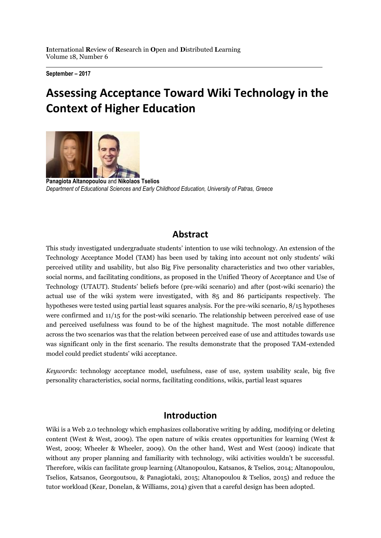**September – 2017**

# **Assessing Acceptance Toward Wiki Technology in the Context of Higher Education**



**Panagiota Altanopoulou** and **Nikolaos Tselios** *Department of Educational Sciences and Early Childhood Education, University of Patras, Greece*

## **Abstract**

This study investigated undergraduate students' intention to use wiki technology. An extension of the Technology Acceptance Model (TAM) has been used by taking into account not only students' wiki perceived utility and usability, but also Big Five personality characteristics and two other variables, social norms, and facilitating conditions, as proposed in the Unified Theory of Acceptance and Use of Technology (UTAUT). Students' beliefs before (pre-wiki scenario) and after (post-wiki scenario) the actual use of the wiki system were investigated, with 85 and 86 participants respectively. The hypotheses were tested using partial least squares analysis. For the pre-wiki scenario, 8/15 hypotheses were confirmed and 11/15 for the post-wiki scenario. The relationship between perceived ease of use and perceived usefulness was found to be of the highest magnitude. The most notable difference across the two scenarios was that the relation between perceived ease of use and attitudes towards use was significant only in the first scenario. The results demonstrate that the proposed TAM-extended model could predict students' wiki acceptance.

*Keywords*: technology acceptance model, usefulness, ease of use, system usability scale, big five personality characteristics, social norms, facilitating conditions, wikis, partial least squares

### **Introduction**

Wiki is a Web 2.0 technology which emphasizes collaborative writing by adding, modifying or deleting content (West & West, 2009). The open nature of wikis creates opportunities for learning (West & West, 2009; Wheeler & Wheeler, 2009). On the other hand, West and West (2009) indicate that without any proper planning and familiarity with technology, wiki activities wouldn't be successful. Therefore, wikis can facilitate group learning (Altanopoulou, Katsanos, & Tselios, 2014; Altanopoulou, Tselios, Katsanos, Georgoutsou, & Panagiotaki, 2015; Altanopoulou & Tselios, 2015) and reduce the tutor workload (Kear, Donelan, & Williams, 2014) given that a careful design has been adopted.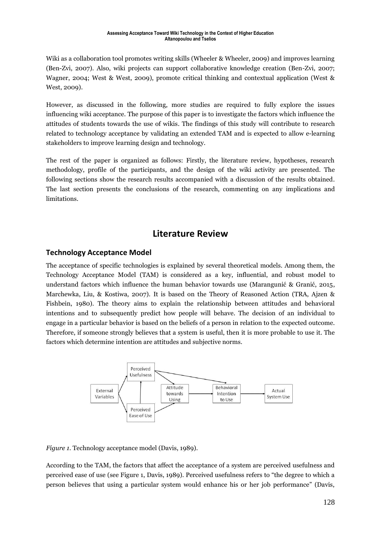Wiki as a collaboration tool promotes writing skills (Wheeler & Wheeler, 2009) and improves learning (Ben-Zvi, 2007). Also, wiki projects can support collaborative knowledge creation (Ben-Zvi, 2007; Wagner, 2004; West & West, 2009), promote critical thinking and contextual application (West & West, 2009).

However, as discussed in the following, more studies are required to fully explore the issues influencing wiki acceptance. The purpose of this paper is to investigate the factors which influence the attitudes of students towards the use of wikis. The findings of this study will contribute to research related to technology acceptance by validating an extended TAM and is expected to allow e-learning stakeholders to improve learning design and technology.

The rest of the paper is organized as follows: Firstly, the literature review, hypotheses, research methodology, profile of the participants, and the design of the wiki activity are presented. The following sections show the research results accompanied with a discussion of the results obtained. The last section presents the conclusions of the research, commenting on any implications and limitations.

## **Literature Review**

#### **Technology Acceptance Model**

The acceptance of specific technologies is explained by several theoretical models. Among them, the Technology Acceptance Model (TAM) is considered as a key, influential, and robust model to understand factors which influence the human behavior towards use (Marangunić & Granić, 2015, Marchewka, Liu, & Kostiwa, 2007). It is based on the Theory of Reasoned Action (TRA, Ajzen & Fishbein, 1980). The theory aims to explain the relationship between attitudes and behavioral intentions and to subsequently predict how people will behave. The decision of an individual to engage in a particular behavior is based on the beliefs of a person in relation to the expected outcome. Therefore, if someone strongly believes that a system is useful, then it is more probable to use it. The factors which determine intention are attitudes and subjective norms.



*Figure 1.* Technology acceptance model (Davis, 1989).

According to the TAM, the factors that affect the acceptance of a system are perceived usefulness and perceived ease of use (see Figure 1, Davis, 1989). Perceived usefulness refers to "the degree to which a person believes that using a particular system would enhance his or her job performance" (Davis,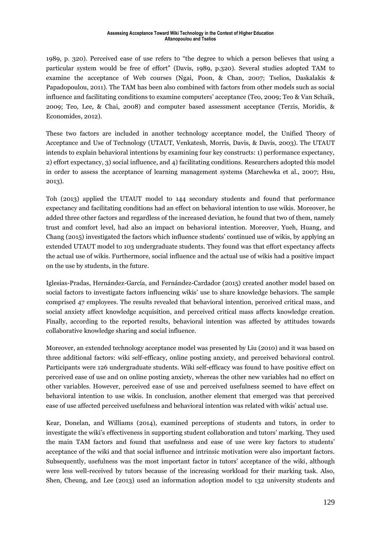1989, p. 320). Perceived ease of use refers to "the degree to which a person believes that using a particular system would be free of effort" (Davis, 1989, p.320). Several studies adopted TAM to examine the acceptance of Web courses (Ngai, Poon, & Chan, 2007; Tselios, Daskalakis & Papadopoulou, 2011). The TAM has been also combined with factors from other models such as social influence and facilitating conditions to examine computers' acceptance (Teo, 2009; Teo & Van Schaik, 2009; Teo, Lee, & Chai, 2008) and computer based assessment acceptance (Terzis, Moridis, & Economides, 2012).

These two factors are included in another technology acceptance model, the Unified Theory of Acceptance and Use of Technology (UTAUT, Venkatesh, Morris, Davis, & Davis, 2003). The UTAUT intends to explain behavioral intentions by examining four key constructs: 1) performance expectancy, 2) effort expectancy, 3) social influence, and 4) facilitating conditions. Researchers adopted this model in order to assess the acceptance of learning management systems (Marchewka et al., 2007; Hsu, 2013).

Toh (2013) applied the UTAUT model to 144 secondary students and found that performance expectancy and facilitating conditions had an effect on behavioral intention to use wikis. Moreover, he added three other factors and regardless of the increased deviation, he found that two of them, namely trust and comfort level, had also an impact on behavioral intention. Moreover, Yueh, Huang, and Chang (2015) investigated the factors which influence students' continued use of wikis, by applying an extended UTAUT model to 103 undergraduate students. They found was that effort expectancy affects the actual use of wikis. Furthermore, social influence and the actual use of wikis had a positive impact on the use by students, in the future.

Iglesias-Pradas, Hernández-García, and Fernández-Cardador (2015) created another model based on social factors to investigate factors influencing wikis' use to share knowledge behaviors. The sample comprised 47 employees. The results revealed that behavioral intention, perceived critical mass, and social anxiety affect knowledge acquisition, and perceived critical mass affects knowledge creation. Finally, according to the reported results, behavioral intention was affected by attitudes towards collaborative knowledge sharing and social influence.

Moreover, an extended technology acceptance model was presented by Liu (2010) and it was based on three additional factors: wiki self-efficacy, online posting anxiety, and perceived behavioral control. Participants were 126 undergraduate students. Wiki self-efficacy was found to have positive effect on perceived ease of use and on online posting anxiety, whereas the other new variables had no effect on other variables. However, perceived ease of use and perceived usefulness seemed to have effect on behavioral intention to use wikis. In conclusion, another element that emerged was that perceived ease of use affected perceived usefulness and behavioral intention was related with wikis' actual use.

Kear, Donelan, and Williams (2014), examined perceptions of students and tutors, in order to investigate the wiki's effectiveness in supporting student collaboration and tutors' marking. They used the main TAM factors and found that usefulness and ease of use were key factors to students' acceptance of the wiki and that social influence and intrinsic motivation were also important factors. Subsequently, usefulness was the most important factor in tutors' acceptance of the wiki, although were less well-received by tutors because of the increasing workload for their marking task. Also, Shen, Cheung, and Lee (2013) used an information adoption model to 132 university students and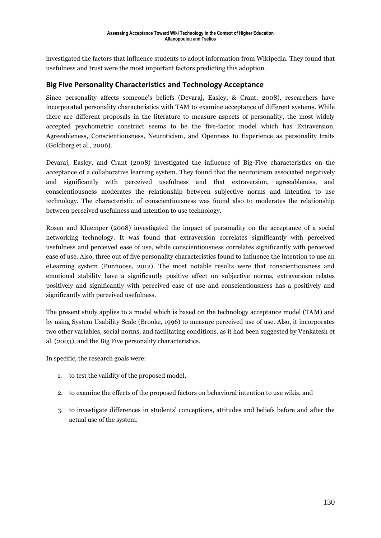investigated the factors that influence students to adopt information from Wikipedia. They found that usefulness and trust were the most important factors predicting this adoption.

#### **Big Five Personality Characteristics and Technology Acceptance**

Since personality affects someone's beliefs (Devaraj, Easley, & Crant, 2008), researchers have incorporated personality characteristics with TAM to examine acceptance of different systems. While there are different proposals in the literature to measure aspects of personality, the most widely accepted psychometric construct seems to be the five-factor model which has Extraversion, Agreeableness, Conscientiousness, Neuroticism, and Openness to Experience as personality traits (Goldberg et al., 2006).

Devaraj, Easley, and Crant (2008) investigated the influence of Big-Five characteristics on the acceptance of a collaborative learning system. They found that the neuroticism associated negatively and significantly with perceived usefulness and that extraversion, agreeableness, and conscientiousness moderates the relationship between subjective norms and intention to use technology. The characteristic of conscientiousness was found also to moderates the relationship between perceived usefulness and intention to use technology.

Rosen and Kluemper (2008) investigated the impact of personality on the acceptance of a social networking technology. It was found that extraversion correlates significantly with perceived usefulness and perceived ease of use, while conscientiousness correlates significantly with perceived ease of use. Also, three out of five personality characteristics found to influence the intention to use an eLearning system (Punnoose, 2012). The most notable results were that conscientiousness and emotional stability have a significantly positive effect on subjective norms, extraversion relates positively and significantly with perceived ease of use and conscientiousness has a positively and significantly with perceived usefulness.

The present study applies to a model which is based on the technology acceptance model (TAM) and by using System Usability Scale (Brooke, 1996) to measure perceived use of use. Also, it incorporates two other variables, social norms, and facilitating conditions, as it had been suggested by Venkatesh et al. (2003), and the Big Five personality characteristics.

In specific, the research goals were:

- 1. to test the validity of the proposed model,
- 2. to examine the effects of the proposed factors on behavioral intention to use wikis, and
- 3. to investigate differences in students' conceptions, attitudes and beliefs before and after the actual use of the system.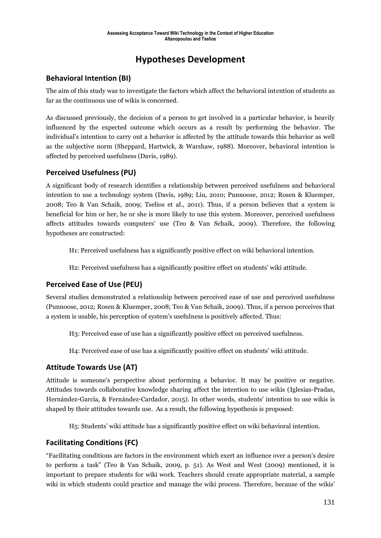## **Hypotheses Development**

### **Behavioral Intention (BI)**

The aim of this study was to investigate the factors which affect the behavioral intention of students as far as the continuous use of wikis is concerned.

As discussed previously, the decision of a person to get involved in a particular behavior, is heavily influenced by the expected outcome which occurs as a result by performing the behavior. The individual's intention to carry out a behavior is affected by the attitude towards this behavior as well as the subjective norm (Sheppard, Hartwick, & Warshaw, 1988). Moreover, behavioral intention is affected by perceived usefulness (Davis, 1989).

#### **Perceived Usefulness (PU)**

A significant body of research identifies a relationship between perceived usefulness and behavioral intention to use a technology system (Davis, 1989; Liu, 2010; Punnoose, 2012; Rosen & Kluemper, 2008; Teo & Van Schaik, 2009; Tselios et al., 2011). Thus, if a person believes that a system is beneficial for him or her, he or she is more likely to use this system. Moreover, perceived usefulness affects attitudes towards computers' use (Teo & Van Schaik, 2009). Therefore, the following hypotheses are constructed:

H1: Perceived usefulness has a significantly positive effect on wiki behavioral intention.

H2: Perceived usefulness has a significantly positive effect on students' wiki attitude.

### **Perceived Ease of Use (PEU)**

Several studies demonstrated a relationship between perceived ease of use and perceived usefulness (Punnoose, 2012; Rosen & Kluemper, 2008; Teo & Van Schaik, 2009). Thus, if a person perceives that a system is usable, his perception of system's usefulness is positively affected. Thus:

H3: Perceived ease of use has a significantly positive effect on perceived usefulness.

H4: Perceived ease of use has a significantly positive effect on students' wiki attitude.

### **Attitude Towards Use (AT)**

Attitude is someone's perspective about performing a behavior. It may be positive or negative. Attitudes towards collaborative knowledge sharing affect the intention to use wikis (Iglesias-Pradas, Hernández-García, & Fernández-Cardador, 2015). In other words, students' intention to use wikis is shaped by their attitudes towards use. As a result, the following hypothesis is proposed:

H5: Students' wiki attitude has a significantly positive effect on wiki behavioral intention.

### **Facilitating Conditions (FC)**

"Facilitating conditions are factors in the environment which exert an influence over a person's desire to perform a task" (Teo & Van Schaik, 2009, p. 51). As West and West (2009) mentioned, it is important to prepare students for wiki work. Teachers should create appropriate material, a sample wiki in which students could practice and manage the wiki process. Therefore, because of the wikis'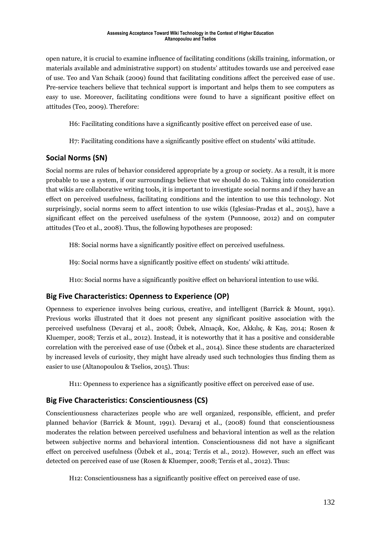open nature, it is crucial to examine influence of facilitating conditions (skills training, information, or materials available and administrative support) on students' attitudes towards use and perceived ease of use. Teo and Van Schaik (2009) found that facilitating conditions affect the perceived ease of use. Pre-service teachers believe that technical support is important and helps them to see computers as easy to use. Moreover, facilitating conditions were found to have a significant positive effect on attitudes (Teo, 2009). Therefore:

H6: Facilitating conditions have a significantly positive effect on perceived ease of use.

H7: Facilitating conditions have a significantly positive effect on students' wiki attitude.

#### **Social Norms (SN)**

Social norms are rules of behavior considered appropriate by a group or society. As a result, it is more probable to use a system, if our surroundings believe that we should do so. Taking into consideration that wikis are collaborative writing tools, it is important to investigate social norms and if they have an effect on perceived usefulness, facilitating conditions and the intention to use this technology. Not surprisingly, social norms seem to affect intention to use wikis (Iglesias-Pradas et al., 2015), have a significant effect on the perceived usefulness of the system (Punnoose, 2012) and on computer attitudes (Teo et al., 2008). Thus, the following hypotheses are proposed:

H8: Social norms have a significantly positive effect on perceived usefulness.

H9: Social norms have a significantly positive effect on students' wiki attitude.

H10: Social norms have a significantly positive effect on behavioral intention to use wiki.

#### **Big Five Characteristics: Openness to Experience (OP)**

Openness to experience involves being curious, creative, and intelligent (Barrick & Mount, 1991). Previous works illustrated that it does not present any significant positive association with the perceived usefulness (Devaraj et al., 2008; Özbek, Alnıaçık, Koc, Akkılıç, & Kaş, 2014; Rosen & Kluemper, 2008; Terzis et al., 2012). Instead, it is noteworthy that it has a positive and considerable correlation with the perceived ease of use (Özbek et al., 2014). Since these students are characterized by increased levels of curiosity, they might have already used such technologies thus finding them as easier to use (Altanopoulou & Tselios, 2015). Thus:

H11: Openness to experience has a significantly positive effect on perceived ease of use.

#### **Big Five Characteristics: Conscientiousness (CS)**

Conscientiousness characterizes people who are well organized, responsible, efficient, and prefer planned behavior (Barrick & Mount, 1991). Devaraj et al., (2008) found that conscientiousness moderates the relation between perceived usefulness and behavioral intention as well as the relation between subjective norms and behavioral intention. Conscientiousness did not have a significant effect on perceived usefulness (Özbek et al., 2014; Terzis et al., 2012). However, such an effect was detected on perceived ease of use (Rosen & Kluemper, 2008; Terzis et al., 2012). Thus:

H12: Conscientiousness has a significantly positive effect on perceived ease of use.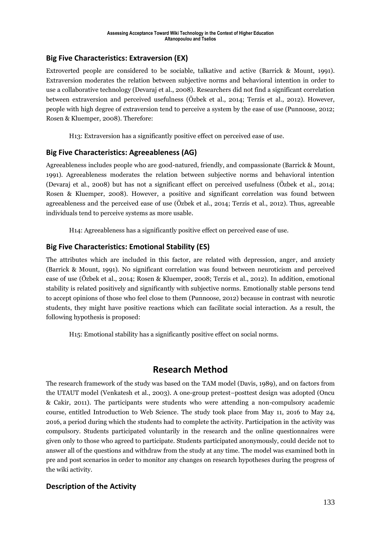### **Big Five Characteristics: Extraversion (EX)**

Extroverted people are considered to be sociable, talkative and active (Barrick & Mount, 1991). Extraversion moderates the relation between subjective norms and behavioral intention in order to use a collaborative technology (Devaraj et al., 2008). Researchers did not find a significant correlation between extraversion and perceived usefulness (Özbek et al., 2014; Terzis et al., 2012). However, people with high degree of extraversion tend to perceive a system by the ease of use (Punnoose, 2012; Rosen & Kluemper, 2008). Therefore:

H13: Extraversion has a significantly positive effect on perceived ease of use.

### **Big Five Characteristics: Agreeableness (AG)**

Agreeableness includes people who are good-natured, friendly, and compassionate (Barrick & Mount, 1991). Agreeableness moderates the relation between subjective norms and behavioral intention (Devaraj et al., 2008) but has not a significant effect on perceived usefulness (Özbek et al., 2014; Rosen & Kluemper, 2008). However, a positive and significant correlation was found between agreeableness and the perceived ease of use (Özbek et al., 2014; Terzis et al., 2012). Thus, agreeable individuals tend to perceive systems as more usable.

H14: Agreeableness has a significantly positive effect on perceived ease of use.

### **Big Five Characteristics: Emotional Stability (ES)**

The attributes which are included in this factor, are related with depression, anger, and anxiety (Barrick & Mount, 1991). No significant correlation was found between neuroticism and perceived ease of use (Özbek et al., 2014; Rosen & Kluemper, 2008; Terzis et al., 2012). In addition, emotional stability is related positively and significantly with subjective norms. Emotionally stable persons tend to accept opinions of those who feel close to them (Punnoose, 2012) because in contrast with neurotic students, they might have positive reactions which can facilitate social interaction. As a result, the following hypothesis is proposed:

H15: Emotional stability has a significantly positive effect on social norms.

## **Research Method**

The research framework of the study was based on the TAM model (Davis, 1989), and on factors from the UTAUT model (Venkatesh et al., 2003). A one-group pretest–posttest design was adopted (Oncu & Cakir, 2011). The participants were students who were attending a non-compulsory academic course, entitled Introduction to Web Science. The study took place from May 11, 2016 to May 24, 2016, a period during which the students had to complete the activity. Participation in the activity was compulsory. Students participated voluntarily in the research and the online questionnaires were given only to those who agreed to participate. Students participated anonymously, could decide not to answer all of the questions and withdraw from the study at any time. The model was examined both in pre and post scenarios in order to monitor any changes on research hypotheses during the progress of the wiki activity.

### **Description of the Activity**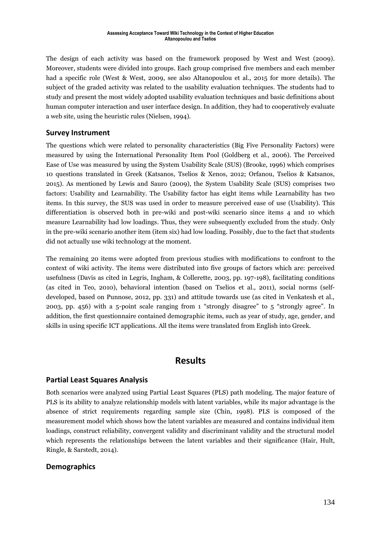The design of each activity was based on the framework proposed by West and West (2009). Moreover, students were divided into groups. Each group comprised five members and each member had a specific role (West & West, 2009, see also Altanopoulou et al., 2015 for more details). The subject of the graded activity was related to the usability evaluation techniques. The students had to study and present the most widely adopted usability evaluation techniques and basic definitions about human computer interaction and user interface design. In addition, they had to cooperatively evaluate a web site, using the heuristic rules (Nielsen, 1994).

#### **Survey Instrument**

The questions which were related to personality characteristics (Big Five Personality Factors) were measured by using the International Personality Item Pool (Goldberg et al., 2006). The Perceived Ease of Use was measured by using the System Usability Scale (SUS) (Brooke, 1996) which comprises 10 questions translated in Greek (Katsanos, Tselios & Xenos, 2012; Orfanou, Tselios & Katsanos, 2015). As mentioned by Lewis and Sauro (2009), the System Usability Scale (SUS) comprises two factors: Usability and Learnability. The Usability factor has eight items while Learnability has two items. In this survey, the SUS was used in order to measure perceived ease of use (Usability). This differentiation is observed both in pre-wiki and post-wiki scenario since items 4 and 10 which measure Learnability had low loadings. Thus, they were subsequently excluded from the study. Only in the pre-wiki scenario another item (item six) had low loading. Possibly, due to the fact that students did not actually use wiki technology at the moment.

The remaining 20 items were adopted from previous studies with modifications to confront to the context of wiki activity. The items were distributed into five groups of factors which are: perceived usefulness (Davis as cited in Legris, Ingham, & Collerette, 2003, pp. 197-198), facilitating conditions (as cited in Teo, 2010), behavioral intention (based on Tselios et al., 2011), social norms (selfdeveloped, based on Punnose, 2012, pp. 331) and attitude towards use (as cited in Venkatesh et al., 2003, pp. 456) with a 5-point scale ranging from 1 "strongly disagree" to 5 "strongly agree". In addition, the first questionnaire contained demographic items, such as year of study, age, gender, and skills in using specific ICT applications. All the items were translated from English into Greek.

### **Results**

#### **Partial Least Squares Analysis**

Both scenarios were analyzed using Partial Least Squares (PLS) path modeling. The major feature of PLS is its ability to analyze relationship models with latent variables, while its major advantage is the absence of strict requirements regarding sample size (Chin, 1998). PLS is composed of the measurement model which shows how the latent variables are measured and contains individual item loadings, construct reliability, convergent validity and discriminant validity and the structural model which represents the relationships between the latent variables and their significance (Hair, Hult, Ringle, & Sarstedt, 2014).

#### **Demographics**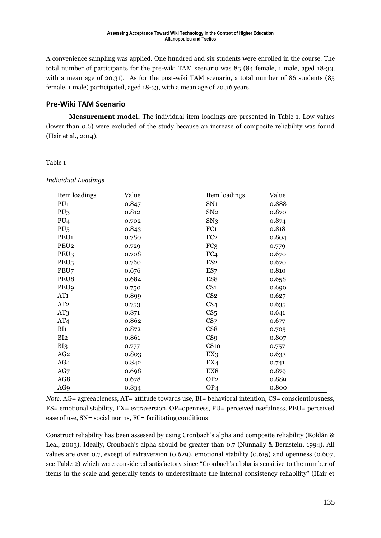A convenience sampling was applied. One hundred and six students were enrolled in the course. The total number of participants for the pre-wiki TAM scenario was 85 (84 female, 1 male, aged 18-33, with a mean age of 20.31). As for the post-wiki TAM scenario, a total number of 86 students (85 female, 1 male) participated, aged 18-33, with a mean age of 20.36 years.

#### **Pre-Wiki TAM Scenario**

**Measurement model.** The individual item loadings are presented in Table 1. Low values (lower than 0.6) were excluded of the study because an increase of composite reliability was found (Hair et al., 2014).

Table 1

*Individual Loadings*

| Item loadings    | Value | Item loadings    | Value |  |
|------------------|-------|------------------|-------|--|
| PU <sub>1</sub>  | 0.847 | SN1              | 0.888 |  |
| PU3              | 0.812 | SN2              | 0.870 |  |
| PU <sub>4</sub>  | 0.702 | SN3              | 0.874 |  |
| PU <sub>5</sub>  | 0.843 | FC <sub>1</sub>  | 0.818 |  |
| PEU <sub>1</sub> | 0.780 | FC <sub>2</sub>  | 0.804 |  |
| PEU <sub>2</sub> | 0.729 | FC3              | 0.779 |  |
| PEU <sub>3</sub> | 0.708 | FC <sub>4</sub>  | 0.670 |  |
| PEU <sub>5</sub> | 0.760 | ES <sub>2</sub>  | 0.670 |  |
| PEU7             | 0.676 | ES7              | 0.810 |  |
| PEU8             | 0.684 | ES8              | 0.658 |  |
| PEU <sub>9</sub> | 0.750 | CS <sub>1</sub>  | 0.690 |  |
| AT <sub>1</sub>  | 0.899 | CS <sub>2</sub>  | 0.627 |  |
| AT2              | 0.753 | CS <sub>4</sub>  | 0.635 |  |
| AT3              | 0.871 | CS <sub>5</sub>  | 0.641 |  |
| AT <sub>4</sub>  | 0.862 | CS <sub>7</sub>  | 0.677 |  |
| BI <sub>1</sub>  | 0.872 | CS8              | 0.705 |  |
| BI2              | 0.861 | CS <sub>9</sub>  | 0.807 |  |
| B <sub>13</sub>  | 0.777 | CS <sub>10</sub> | 0.757 |  |
| AG2              | 0.803 | EX3              | 0.633 |  |
| AG4              | 0.842 | EX4              | 0.741 |  |
| AG7              | 0.698 | EX8              | 0.879 |  |
| AG8              | 0.678 | OP <sub>2</sub>  | 0.889 |  |
| AG9              | 0.834 | OP <sub>4</sub>  | 0.800 |  |

*Note.* AG= agreeableness, AT= attitude towards use, BI= behavioral intention, CS= conscientiousness, ES= emotional stability, EX= extraversion, OP=openness, PU= perceived usefulness, PEU= perceived ease of use, SN= social norms, FC= facilitating conditions

Construct reliability has been assessed by using Cronbach's alpha and composite reliability (Roldán & Leal, 2003). Ideally, Cronbach's alpha should be greater than 0.7 (Nunnally & Bernstein, 1994). All values are over 0.7, except of extraversion (0.629), emotional stability (0.615) and openness (0.607, see Table 2) which were considered satisfactory since "Cronbach's alpha is sensitive to the number of items in the scale and generally tends to underestimate the internal consistency reliability" (Hair et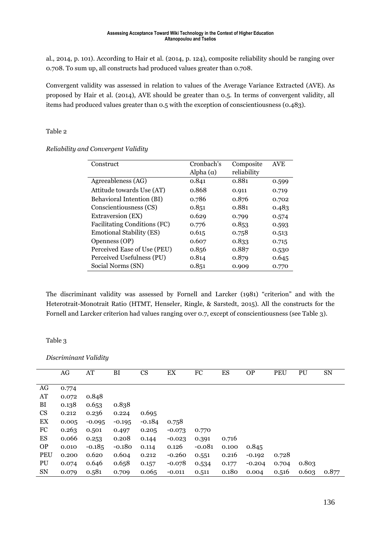al., 2014, p. 101). According to Hair et al. (2014, p. 124), composite reliability should be ranging over 0.708. To sum up, all constructs had produced values greater than 0.708.

Convergent validity was assessed in relation to values of the Average Variance Extracted (AVE). As proposed by Hair et al. (2014), AVE should be greater than 0.5. In terms of convergent validity, all items had produced values greater than 0.5 with the exception of conscientiousness (0.483).

#### Table 2

| Construct                           | Cronbach's<br>Alpha $(\alpha)$ | Composite<br>reliability | <b>AVE</b> |
|-------------------------------------|--------------------------------|--------------------------|------------|
| Agreeableness (AG)                  | 0.841                          | 0.881                    | 0.599      |
| Attitude towards Use (AT)           | 0.868                          | 0.911                    | 0.719      |
| Behavioral Intention (BI)           | 0.786                          | 0.876                    | 0.702      |
| Conscientiousness (CS)              | 0.851                          | 0.881                    | 0.483      |
| Extraversion (EX)                   | 0.629                          | 0.799                    | 0.574      |
| <b>Facilitating Conditions (FC)</b> | 0.776                          | 0.853                    | 0.593      |
| <b>Emotional Stability (ES)</b>     | 0.615                          | 0.758                    | 0.513      |
| Openness (OP)                       | 0.607                          | 0.833                    | 0.715      |
| Perceived Ease of Use (PEU)         | 0.856                          | 0.887                    | 0.530      |
| Perceived Usefulness (PU)           | 0.814                          | 0.879                    | 0.645      |
| Social Norms (SN)                   | 0.851                          | 0.909                    | 0.770      |

*Reliability and Convergent Validity*

The discriminant validity was assessed by Fornell and Larcker (1981) "criterion" and with the Heterotrait-Monotrait Ratio (HTMT, Henseler, Ringle, & Sarstedt, 2015). All the constructs for the Fornell and Larcker criterion had values ranging over 0.7, except of conscientiousness (see Table 3).

#### Table 3

*Discriminant Validity*

|           | AG    | AT       | BI       | $\mathbf{C}\mathbf{S}$ | EX       | FC       | ES    | <b>OP</b> | PEU   | PU    | SN    |
|-----------|-------|----------|----------|------------------------|----------|----------|-------|-----------|-------|-------|-------|
| AG        | 0.774 |          |          |                        |          |          |       |           |       |       |       |
| AT        | 0.072 | 0.848    |          |                        |          |          |       |           |       |       |       |
| BI        | 0.138 | 0.653    | 0.838    |                        |          |          |       |           |       |       |       |
| CS        | 0.212 | 0.236    | 0.224    | 0.695                  |          |          |       |           |       |       |       |
| EX        | 0.005 | $-0.095$ | $-0.195$ | $-0.184$               | 0.758    |          |       |           |       |       |       |
| FC        | 0.263 | 0.501    | 0.497    | 0.205                  | $-0.073$ | 0.770    |       |           |       |       |       |
| ES        | 0.066 | 0.253    | 0.208    | 0.144                  | $-0.023$ | 0.391    | 0.716 |           |       |       |       |
| <b>OP</b> | 0.010 | $-0.185$ | $-0.180$ | 0.114                  | 0.126    | $-0.081$ | 0.100 | 0.845     |       |       |       |
| PEU       | 0.200 | 0.620    | 0.604    | 0.212                  | $-0.260$ | 0.551    | 0.216 | $-0.192$  | 0.728 |       |       |
| PU        | 0.074 | 0.646    | 0.658    | 0.157                  | $-0.078$ | 0.534    | 0.177 | $-0.204$  | 0.704 | 0.803 |       |
| SN        | 0.079 | 0.581    | 0.709    | 0.065                  | $-0.011$ | 0.511    | 0.180 | 0.004     | 0.516 | 0.603 | 0.877 |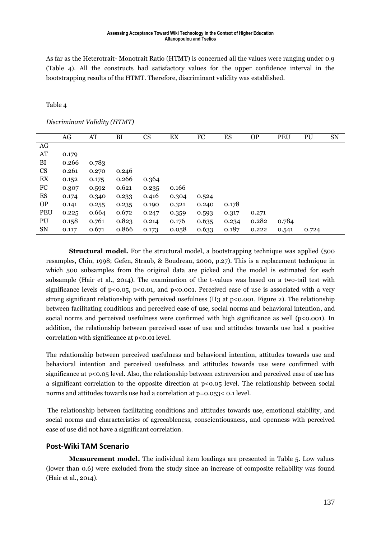As far as the Heterotrait- Monotrait Ratio (HTMT) is concerned all the values were ranging under 0.9 (Table 4). All the constructs had satisfactory values for the upper confidence interval in the bootstrapping results of the HTMT. Therefore, discriminant validity was established.

#### Table 4

#### *Discriminant Validity (HTMT)*

|           | AG    | AT    | BI    | CS    | EX    | FC    | ES    | <b>OP</b> | PEU   | PU    | <b>SN</b> |
|-----------|-------|-------|-------|-------|-------|-------|-------|-----------|-------|-------|-----------|
| AG        |       |       |       |       |       |       |       |           |       |       |           |
| AT        | 0.179 |       |       |       |       |       |       |           |       |       |           |
| ВI        | 0.266 | 0.783 |       |       |       |       |       |           |       |       |           |
| CS        | 0.261 | 0.270 | 0.246 |       |       |       |       |           |       |       |           |
| EX        | 0.152 | 0.175 | 0.266 | 0.364 |       |       |       |           |       |       |           |
| FC        | 0.307 | 0.592 | 0.621 | 0.235 | 0.166 |       |       |           |       |       |           |
| ES        | 0.174 | 0.340 | 0.233 | 0.416 | 0.304 | 0.524 |       |           |       |       |           |
| <b>OP</b> | 0.141 | 0.255 | 0.235 | 0.190 | 0.321 | 0.240 | 0.178 |           |       |       |           |
| PEU       | 0.225 | 0.664 | 0.672 | 0.247 | 0.359 | 0.593 | 0.317 | 0.271     |       |       |           |
| PU        | 0.158 | 0.761 | 0.823 | 0.214 | 0.176 | 0.635 | 0.234 | 0.282     | 0.784 |       |           |
| SN        | 0.117 | 0.671 | 0.866 | 0.173 | 0.058 | 0.633 | 0.187 | 0.222     | 0.541 | 0.724 |           |

**Structural model.** For the structural model, a bootstrapping technique was applied (500) resamples, Chin, 1998; Gefen, Straub, & Boudreau, 2000, p.27). This is a replacement technique in which 500 subsamples from the original data are picked and the model is estimated for each subsample (Hair et al., 2014). The examination of the t-values was based on a two-tail test with significance levels of  $p<0.05$ ,  $p<0.01$ , and  $p<0.001$ . Perceived ease of use is associated with a very strong significant relationship with perceived usefulness (H3 at p<0.001, Figure 2). The relationship between facilitating conditions and perceived ease of use, social norms and behavioral intention, and social norms and perceived usefulness were confirmed with high significance as well ( $p$ <0.001). In addition, the relationship between perceived ease of use and attitudes towards use had a positive correlation with significance at  $p<0.01$  level.

The relationship between perceived usefulness and behavioral intention, attitudes towards use and behavioral intention and perceived usefulness and attitudes towards use were confirmed with significance at p<0.05 level. Also, the relationship between extraversion and perceived ease of use has a significant correlation to the opposite direction at p<0.05 level. The relationship between social norms and attitudes towards use had a correlation at p=0.053< 0.1 level.

The relationship between facilitating conditions and attitudes towards use, emotional stability, and social norms and characteristics of agreeableness, conscientiousness, and openness with perceived ease of use did not have a significant correlation.

#### **Post-Wiki TAM Scenario**

**Measurement model.** The individual item loadings are presented in Table 5. Low values (lower than 0.6) were excluded from the study since an increase of composite reliability was found (Hair et al., 2014).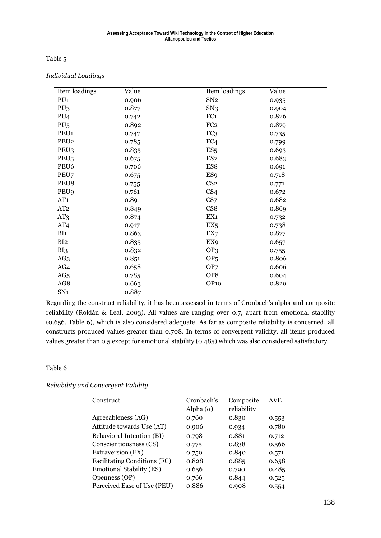Table 5

*Individual Loadings*

| <b>Item</b> loadings | Value | Item loadings    | Value |
|----------------------|-------|------------------|-------|
| PU1                  | 0.906 | SN2              | 0.935 |
| PU <sub>3</sub>      | 0.877 | SN3              | 0.904 |
| PU <sub>4</sub>      | 0.742 | FC <sub>1</sub>  | 0.826 |
| PU <sub>5</sub>      | 0.892 | FC <sub>2</sub>  | 0.879 |
| PEU1                 | 0.747 | FC3              | 0.735 |
| PEU <sub>2</sub>     | 0.785 | FC <sub>4</sub>  | 0.799 |
| PEU <sub>3</sub>     | 0.835 | ES <sub>5</sub>  | 0.693 |
| PEU <sub>5</sub>     | 0.675 | ES7              | 0.683 |
| PEU <sub>6</sub>     | 0.706 | ES8              | 0.691 |
| PEU7                 | 0.675 | ES <sub>9</sub>  | 0.718 |
| PEU8                 | 0.755 | CS <sub>2</sub>  | 0.771 |
| PEU <sub>9</sub>     | 0.761 | CS <sub>4</sub>  | 0.672 |
| AT1                  | 0.891 | CS7              | 0.682 |
| AT2                  | 0.849 | CS8              | 0.869 |
| AT3                  | 0.874 | EX1              | 0.732 |
| AT4                  | 0.917 | EX <sub>5</sub>  | 0.738 |
| BI1                  | 0.863 | EX7              | 0.877 |
| BI2                  | 0.835 | EX9              | 0.657 |
| BI3                  | 0.832 | OP <sub>3</sub>  | 0.755 |
| AG3                  | 0.851 | OP <sub>5</sub>  | 0.806 |
| AG4                  | 0.658 | OP7              | 0.606 |
| AG <sub>5</sub>      | 0.785 | OP8              | 0.604 |
| AG8                  | 0.663 | OP <sub>10</sub> | 0.820 |
| SN1                  | 0.887 |                  |       |

Regarding the construct reliability, it has been assessed in terms of Cronbach's alpha and composite reliability (Roldán & Leal, 2003). All values are ranging over 0.7, apart from emotional stability (0.656, Table 6), which is also considered adequate. As far as composite reliability is concerned, all constructs produced values greater than 0.708. In terms of convergent validity, all items produced values greater than 0.5 except for emotional stability (0.485) which was also considered satisfactory.

#### Table 6

|  | Reliability and Convergent Validity |  |
|--|-------------------------------------|--|
|  |                                     |  |

| Construct                           | Cronbach's       | Composite   | <b>AVE</b> |
|-------------------------------------|------------------|-------------|------------|
|                                     | Alpha $(\alpha)$ | reliability |            |
| Agreeableness (AG)                  | 0.760            | 0.830       | 0.553      |
| Attitude towards Use (AT)           | 0.906            | 0.934       | 0.780      |
| Behavioral Intention (BI)           | 0.798            | 0.881       | 0.712      |
| Conscientiousness (CS)              | 0.775            | 0.838       | 0.566      |
| Extraversion (EX)                   | 0.750            | 0.840       | 0.571      |
| <b>Facilitating Conditions (FC)</b> | 0.828            | 0.885       | 0.658      |
| <b>Emotional Stability (ES)</b>     | 0.656            | 0.790       | 0.485      |
| Openness (OP)                       | 0.766            | 0.844       | 0.525      |
| Perceived Ease of Use (PEU)         | 0.886            | 0.908       | 0.554      |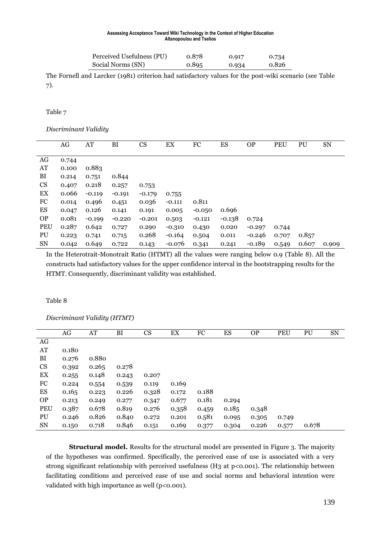| Perceived Usefulness (PU) | 0.878 | 0.917 | 0.734 |
|---------------------------|-------|-------|-------|
| Social Norms (SN)         | 0.895 | 0.934 | 0.826 |

The Fornell and Larcker (1981) criterion had satisfactory values for the post-wiki scenario (see Table 7).

#### Table 7

*Discriminant Validity*

|           | AG    | AT       | BI       | CS       | EX       | FC       | ES       | <b>OP</b> | <b>PEU</b> | PU    | SN    |
|-----------|-------|----------|----------|----------|----------|----------|----------|-----------|------------|-------|-------|
|           |       |          |          |          |          |          |          |           |            |       |       |
| AG        | 0.744 |          |          |          |          |          |          |           |            |       |       |
| AT        | 0.100 | 0.883    |          |          |          |          |          |           |            |       |       |
| BI        | 0.214 | 0.751    | 0.844    |          |          |          |          |           |            |       |       |
| CS        | 0.407 | 0.218    | 0.257    | 0.753    |          |          |          |           |            |       |       |
| EX        | 0.066 | $-0.119$ | $-0.191$ | $-0.179$ | 0.755    |          |          |           |            |       |       |
| FC        | 0.014 | 0.496    | 0.451    | 0.036    | $-0.111$ | 0.811    |          |           |            |       |       |
| ES        | 0.047 | 0.126    | 0.141    | 0.191    | 0.005    | $-0.050$ | 0.696    |           |            |       |       |
| <b>OP</b> | 0.081 | $-0.199$ | $-0.220$ | $-0.201$ | 0.503    | $-0.121$ | $-0.138$ | 0.724     |            |       |       |
| PEU       | 0.287 | 0.642    | 0.727    | 0.290    | $-0.310$ | 0.430    | 0.020    | $-0.297$  | 0.744      |       |       |
| PU        | 0.223 | 0.741    | 0.715    | 0.268    | $-0.164$ | 0.504    | 0.011    | $-0.246$  | 0.707      | 0.857 |       |
| SN        | 0.042 | 0.649    | 0.722    | 0.143    | $-0.076$ | 0.341    | 0.241    | $-0.189$  | 0.549      | 0.607 | 0.909 |

In the Heterotrait-Monotrait Ratio (HTMT) all the values were ranging below 0.9 (Table 8). All the constructs had satisfactory values for the upper confidence interval in the bootstrapping results for the HTMT. Consequently, discriminant validity was established.

#### Table 8

*Discriminant Validity (HTMT)*

|           | AG    | AT    | ВI    | CS    | EX    | FC    | ES    | <b>OP</b> | PEU   | PU    | <b>SN</b> |
|-----------|-------|-------|-------|-------|-------|-------|-------|-----------|-------|-------|-----------|
| AG        |       |       |       |       |       |       |       |           |       |       |           |
| AT        | 0.180 |       |       |       |       |       |       |           |       |       |           |
| BI        | 0.276 | 0.880 |       |       |       |       |       |           |       |       |           |
| CS        | 0.392 | 0.265 | 0.278 |       |       |       |       |           |       |       |           |
| EX        | 0.255 | 0.148 | 0.243 | 0.207 |       |       |       |           |       |       |           |
| FC        | 0.224 | 0.554 | 0.539 | 0.119 | 0.169 |       |       |           |       |       |           |
| ES        | 0.165 | 0.223 | 0.226 | 0.328 | 0.172 | 0.188 |       |           |       |       |           |
| <b>OP</b> | 0.213 | 0.249 | 0.277 | 0.347 | 0.677 | 0.181 | 0.294 |           |       |       |           |
| PEU       | 0.387 | 0.678 | 0.819 | 0.276 | 0.358 | 0.459 | 0.185 | 0.348     |       |       |           |
| PU        | 0.246 | 0.826 | 0.840 | 0.272 | 0.201 | 0.581 | 0.095 | 0.305     | 0.749 |       |           |
| <b>SN</b> | 0.150 | 0.718 | 0.846 | 0.151 | 0.169 | 0.377 | 0.304 | 0.226     | 0.577 | 0.678 |           |

**Structural model.** Results for the structural model are presented in Figure 3. The majority of the hypotheses was confirmed. Specifically, the perceived ease of use is associated with a very strong significant relationship with perceived usefulness (H3 at  $p$ <0.001). The relationship between facilitating conditions and perceived ease of use and social norms and behavioral intention were validated with high importance as well (p<0.001).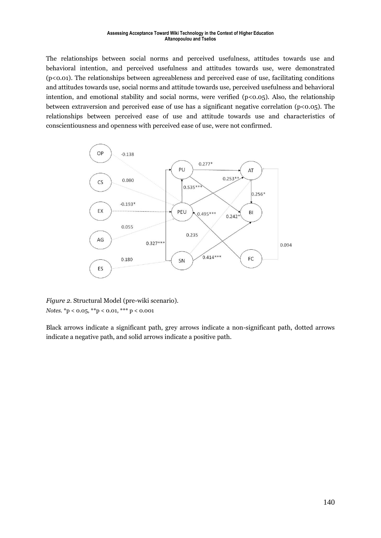The relationships between social norms and perceived usefulness, attitudes towards use and behavioral intention, and perceived usefulness and attitudes towards use, were demonstrated (p<0.01). The relationships between agreeableness and perceived ease of use, facilitating conditions and attitudes towards use, social norms and attitude towards use, perceived usefulness and behavioral intention, and emotional stability and social norms, were verified  $(p<0.05)$ . Also, the relationship between extraversion and perceived ease of use has a significant negative correlation ( $p < 0.05$ ). The relationships between perceived ease of use and attitude towards use and characteristics of conscientiousness and openness with perceived ease of use, were not confirmed.



*Figure 2.* Structural Model (pre-wiki scenario). *Notes.* \*p < 0.05, \*\*p < 0.01, \*\*\* p < 0.001

Black arrows indicate a significant path, grey arrows indicate a non-significant path, dotted arrows indicate a negative path, and solid arrows indicate a positive path.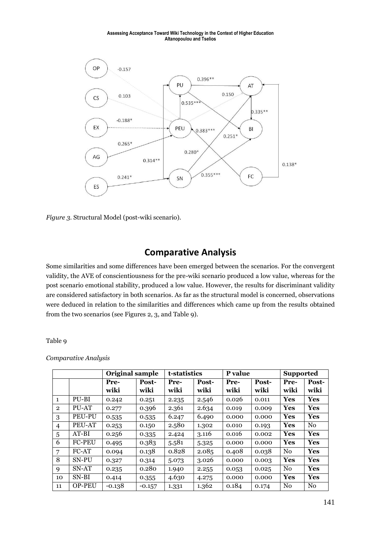

*Figure 3.* Structural Model (post-wiki scenario).

## **Comparative Analysis**

Some similarities and some differences have been emerged between the scenarios. For the convergent validity, the AVE of conscientiousness for the pre-wiki scenario produced a low value, whereas for the post scenario emotional stability, produced a low value. However, the results for discriminant validity are considered satisfactory in both scenarios. As far as the structural model is concerned, observations were deduced in relation to the similarities and differences which came up from the results obtained from the two scenarios (see Figures 2, 3, and Table 9).

Table 9

*Comparative Analysis*

|                |               | Original sample |              | t-statistics |       | P value |       | <b>Supported</b> |            |
|----------------|---------------|-----------------|--------------|--------------|-------|---------|-------|------------------|------------|
|                |               | Pre-            | <b>Post-</b> | Pre-         | Post- | Pre-    | Post- | Pre-             | Post-      |
|                |               | wiki            | wiki         | wiki         | wiki  | wiki    | wiki  | wiki             | wiki       |
| $\mathbf{1}$   | PU-BI         | 0.242           | 0.251        | 2.235        | 2.546 | 0.026   | 0.011 | <b>Yes</b>       | <b>Yes</b> |
| $\overline{2}$ | PU-AT         | 0.277           | 0.396        | 2.361        | 2.634 | 0.019   | 0.009 | Yes              | <b>Yes</b> |
| 3              | PEU-PU        | 0.535           | 0.535        | 6.247        | 6.490 | 0.000   | 0.000 | <b>Yes</b>       | <b>Yes</b> |
| $\overline{4}$ | PEU-AT        | 0.253           | 0.150        | 2.580        | 1.302 | 0.010   | 0.193 | <b>Yes</b>       | No         |
| 5              | $AT-BI$       | 0.256           | 0.335        | 2.424        | 3.116 | 0.016   | 0.002 | Yes              | <b>Yes</b> |
| 6              | <b>FC-PEU</b> | 0.495           | 0.383        | 5.581        | 5.325 | 0.000   | 0.000 | <b>Yes</b>       | <b>Yes</b> |
| 7              | FC-AT         | 0.094           | 0.138        | 0.828        | 2.085 | 0.408   | 0.038 | N <sub>0</sub>   | <b>Yes</b> |
| 8              | <b>SN-PU</b>  | 0.327           | 0.314        | 5.073        | 3.026 | 0.000   | 0.003 | Yes              | <b>Yes</b> |
| 9              | SN-AT         | 0.235           | 0.280        | 1.940        | 2.255 | 0.053   | 0.025 | N <sub>0</sub>   | <b>Yes</b> |
| 10             | $SN-BI$       | 0.414           | 0.355        | 4.630        | 4.275 | 0.000   | 0.000 | <b>Yes</b>       | <b>Yes</b> |
| 11             | <b>OP-PEU</b> | $-0.138$        | $-0.157$     | 1.331        | 1.362 | 0.184   | 0.174 | N <sub>0</sub>   | No         |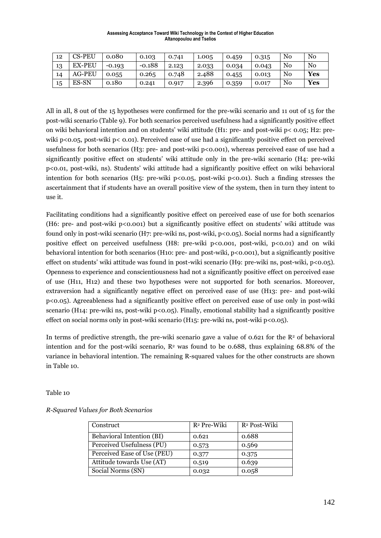**Assessing Acceptance Toward Wiki Technology in the Context of Higher Education Altanopoulou and Tselios**

| 12 | CS-PEU        | 0.080    | 0.103    | 0.741 | 1.005 | 0.459 | 0.315 | No       | N <sub>0</sub> |
|----|---------------|----------|----------|-------|-------|-------|-------|----------|----------------|
| 13 | <b>EX-PEU</b> | $-0.193$ | $-0.188$ | 2.123 | 2.033 | 0.034 | 0.043 | No       | No             |
| 14 | <b>AG-PEU</b> | 0.055    | 0.265    | 0.748 | 2.488 | 0.455 | 0.013 | $\rm No$ | <b>Yes</b>     |
| 15 | ES-SN         | 0.180    | 0.241    | 0.917 | 2.396 | 0.359 | 0.017 | No       | <b>Yes</b>     |

All in all, 8 out of the 15 hypotheses were confirmed for the pre-wiki scenario and 11 out of 15 for the post-wiki scenario (Table 9). For both scenarios perceived usefulness had a significantly positive effect on wiki behavioral intention and on students' wiki attitude (H1: pre- and post-wiki p< 0.05; H2: prewiki p<0.05, post-wiki p< 0.01). Perceived ease of use had a significantly positive effect on perceived usefulness for both scenarios (H3: pre- and post-wiki p<0.001), whereas perceived ease of use had a significantly positive effect on students' wiki attitude only in the pre-wiki scenario (H4: pre-wiki p<0.01, post-wiki, ns). Students' wiki attitude had a significantly positive effect on wiki behavioral intention for both scenarios (H5: pre-wiki p<0.05, post-wiki p<0.01). Such a finding stresses the ascertainment that if students have an overall positive view of the system, then in turn they intent to use it.

Facilitating conditions had a significantly positive effect on perceived ease of use for both scenarios (H6: pre- and post-wiki  $p < 0.001$ ) but a significantly positive effect on students' wiki attitude was found only in post-wiki scenario (H7: pre-wiki ns, post-wiki, p<0.05). Social norms had a significantly positive effect on perceived usefulness (H8: pre-wiki p<0.001, post-wiki, p<0.01) and on wiki behavioral intention for both scenarios (H10: pre- and post-wiki, p<0.001), but a significantly positive effect on students' wiki attitude was found in post-wiki scenario (H9: pre-wiki ns, post-wiki, p<0.05). Openness to experience and conscientiousness had not a significantly positive effect on perceived ease of use (H11, H12) and these two hypotheses were not supported for both scenarios. Moreover, extraversion had a significantly negative effect on perceived ease of use (H13: pre- and post-wiki p<0.05). Agreeableness had a significantly positive effect on perceived ease of use only in post-wiki scenario (H14: pre-wiki ns, post-wiki p<0.05). Finally, emotional stability had a significantly positive effect on social norms only in post-wiki scenario (H15: pre-wiki ns, post-wiki p<0.05).

In terms of predictive strength, the pre-wiki scenario gave a value of 0.621 for the  $\mathbb{R}^2$  of behavioral intention and for the post-wiki scenario,  $R<sup>2</sup>$  was found to be 0.688, thus explaining 68.8% of the variance in behavioral intention. The remaining R-squared values for the other constructs are shown in Table 10.

#### Table 10

| Construct                   | R <sup>2</sup> Pre-Wiki | R <sup>2</sup> Post-Wiki |
|-----------------------------|-------------------------|--------------------------|
| Behavioral Intention (BI)   | 0.621                   | 0.688                    |
| Perceived Usefulness (PU)   | 0.573                   | 0.569                    |
| Perceived Ease of Use (PEU) | 0.377                   | 0.375                    |
| Attitude towards Use (AT)   | 0.519                   | 0.639                    |
| Social Norms (SN)           | 0.032                   | 0.058                    |

*R-Squared Values for Both Scenarios*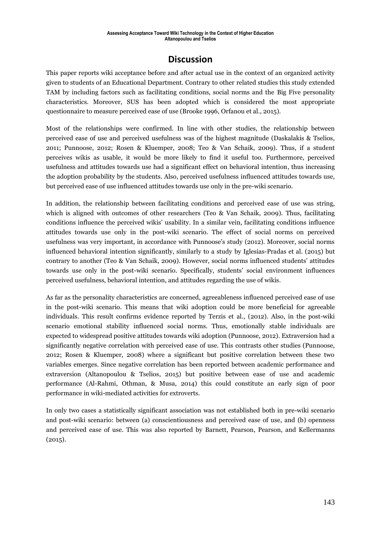## **Discussion**

This paper reports wiki acceptance before and after actual use in the context of an organized activity given to students of an Educational Department. Contrary to other related studies this study extended TAM by including factors such as facilitating conditions, social norms and the Big Five personality characteristics. Moreover, SUS has been adopted which is considered the most appropriate questionnaire to measure perceived ease of use (Brooke 1996, Orfanou et al., 2015).

Most of the relationships were confirmed. In line with other studies, the relationship between perceived ease of use and perceived usefulness was of the highest magnitude (Daskalakis & Tselios, 2011; Punnoose, 2012; Rosen & Kluemper, 2008; Teo & Van Schaik, 2009). Thus, if a student perceives wikis as usable, it would be more likely to find it useful too. Furthermore, perceived usefulness and attitudes towards use had a significant effect on behavioral intention, thus increasing the adoption probability by the students. Also, perceived usefulness influenced attitudes towards use, but perceived ease of use influenced attitudes towards use only in the pre-wiki scenario.

In addition, the relationship between facilitating conditions and perceived ease of use was string, which is aligned with outcomes of other researchers (Teo & Van Schaik, 2009). Thus, facilitating conditions influence the perceived wikis' usability. In a similar vein, facilitating conditions influence attitudes towards use only in the post-wiki scenario. The effect of social norms on perceived usefulness was very important, in accordance with Punnoose's study (2012). Moreover, social norms influenced behavioral intention significantly, similarly to a study by Iglesias-Pradas et al. (2015) but contrary to another (Teo & Van Schaik, 2009). However, social norms influenced students' attitudes towards use only in the post-wiki scenario. Specifically, students' social environment influences perceived usefulness, behavioral intention, and attitudes regarding the use of wikis.

As far as the personality characteristics are concerned, agreeableness influenced perceived ease of use in the post-wiki scenario. This means that wiki adoption could be more beneficial for agreeable individuals. This result confirms evidence reported by Terzis et al., (2012). Also, in the post-wiki scenario emotional stability influenced social norms. Thus, emotionally stable individuals are expected to widespread positive attitudes towards wiki adoption (Punnoose, 2012). Extraversion had a significantly negative correlation with perceived ease of use. This contrasts other studies (Punnoose, 2012; Rosen & Kluemper, 2008) where a significant but positive correlation between these two variables emerges. Since negative correlation has been reported between academic performance and extraversion (Altanopoulou & Tselios, 2015) but positive between ease of use and academic performance (Al-Rahmi, Othman, & Musa, 2014) this could constitute an early sign of poor performance in wiki-mediated activities for extroverts.

In only two cases a statistically significant association was not established both in pre-wiki scenario and post-wiki scenario: between (a) conscientiousness and perceived ease of use, and (b) openness and perceived ease of use. This was also reported by Barnett, Pearson, Pearson, and Kellermanns (2015).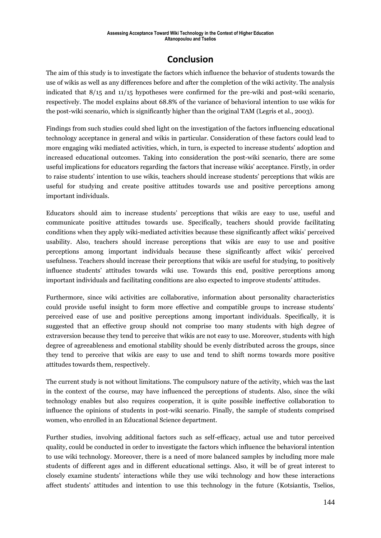## **Conclusion**

The aim of this study is to investigate the factors which influence the behavior of students towards the use of wikis as well as any differences before and after the completion of the wiki activity. The analysis indicated that 8/15 and 11/15 hypotheses were confirmed for the pre-wiki and post-wiki scenario, respectively. The model explains about 68.8% of the variance of behavioral intention to use wikis for the post-wiki scenario, which is significantly higher than the original TAM (Legris et al., 2003).

Findings from such studies could shed light on the investigation of the factors influencing educational technology acceptance in general and wikis in particular. Consideration of these factors could lead to more engaging wiki mediated activities, which, in turn, is expected to increase students' adoption and increased educational outcomes. Taking into consideration the post-wiki scenario, there are some useful implications for educators regarding the factors that increase wikis' acceptance. Firstly, in order to raise students' intention to use wikis, teachers should increase students' perceptions that wikis are useful for studying and create positive attitudes towards use and positive perceptions among important individuals.

Educators should aim to increase students' perceptions that wikis are easy to use, useful and communicate positive attitudes towards use. Specifically, teachers should provide facilitating conditions when they apply wiki-mediated activities because these significantly affect wikis' perceived usability. Also, teachers should increase perceptions that wikis are easy to use and positive perceptions among important individuals because these significantly affect wikis' perceived usefulness. Teachers should increase their perceptions that wikis are useful for studying, to positively influence students' attitudes towards wiki use. Towards this end, positive perceptions among important individuals and facilitating conditions are also expected to improve students' attitudes.

Furthermore, since wiki activities are collaborative, information about personality characteristics could provide useful insight to form more effective and compatible groups to increase students' perceived ease of use and positive perceptions among important individuals. Specifically, it is suggested that an effective group should not comprise too many students with high degree of extraversion because they tend to perceive that wikis are not easy to use. Moreover, students with high degree of agreeableness and emotional stability should be evenly distributed across the groups, since they tend to perceive that wikis are easy to use and tend to shift norms towards more positive attitudes towards them, respectively.

The current study is not without limitations. The compulsory nature of the activity, which was the last in the context of the course, may have influenced the perceptions of students. Also, since the wiki technology enables but also requires cooperation, it is quite possible ineffective collaboration to influence the opinions of students in post-wiki scenario. Finally, the sample of students comprised women, who enrolled in an Educational Science department.

Further studies, involving additional factors such as self-efficacy, actual use and tutor perceived quality, could be conducted in order to investigate the factors which influence the behavioral intention to use wiki technology. Moreover, there is a need of more balanced samples by including more male students of different ages and in different educational settings. Also, it will be of great interest to closely examine students' interactions while they use wiki technology and how these interactions affect students' attitudes and intention to use this technology in the future (Kotsiantis, Tselios,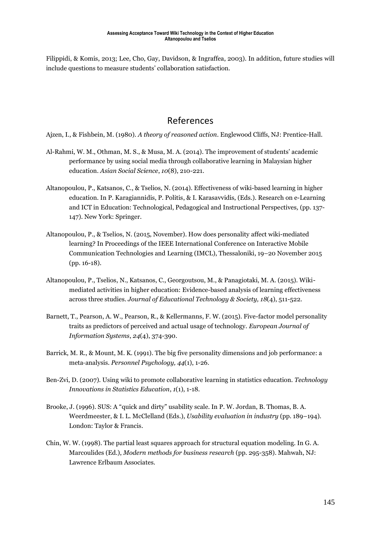Filippidi, & Komis, 2013; Lee, Cho, Gay, Davidson, & Ingraffea, 2003). In addition, future studies will include questions to measure students' collaboration satisfaction.

## References

Ajzen, I., & Fishbein, M. (1980). *A theory of reasoned action*. Englewood Cliffs, NJ: Prentice-Hall.

- Al-Rahmi, W. M., Othman, M. S., & Musa, M. A. (2014). The improvement of students' academic performance by using social media through collaborative learning in Malaysian higher education. *Asian Social Science*, *10*(8), 210-221.
- Altanopoulou, P., Katsanos, C., & Tselios, N. (2014). Effectiveness of wiki-based learning in higher education. In P. Karagiannidis, P. Politis, & I. Karasavvidis, (Eds.). Research on e-Learning and ICT in Education: Technological, Pedagogical and Instructional Perspectives*,* (pp. 137- 147). New York: Springer.
- Altanopoulou, P., & Tselios, N. (2015, November). How does personality affect wiki-mediated learning? In Proceedings of the IEEE International Conference on Interactive Mobile Communication Technologies and Learning (IMCL), Thessaloniki, 19–20 November 2015 (pp. 16-18).
- Altanopoulou, P., Tselios, N., Katsanos, C., Georgoutsou, M., & Panagiotaki, M. A. (2015). Wikimediated activities in higher education: Evidence-based analysis of learning effectiveness across three studies. *Journal of Educational Technology & Society, 18*(4), 511-522.
- Barnett, T., Pearson, A. W., Pearson, R., & Kellermanns, F. W. (2015). Five-factor model personality traits as predictors of perceived and actual usage of technology. *European Journal of Information Systems*, *24*(4), 374-390.
- Barrick, M. R., & Mount, M. K. (1991). The big five personality dimensions and job performance: a meta‐analysis. *Personnel Psychology, 44*(1), 1-26.
- Ben-Zvi, D. (2007). Using wiki to promote collaborative learning in statistics education. *Technology Innovations in Statistics Education*, *1*(1), 1-18.
- Brooke, J. (1996). SUS: A "quick and dirty" usability scale. In P. W. Jordan, B. Thomas, B. A. Weerdmeester, & I. L. McClelland (Eds.), *Usability evaluation in industry* (pp. 189–194). London: Taylor & Francis.
- Chin, W. W. (1998). The partial least squares approach for structural equation modeling. In G. A. Marcoulides (Ed.), *Modern methods for business research* (pp. 295-358). Mahwah, NJ: Lawrence Erlbaum Associates.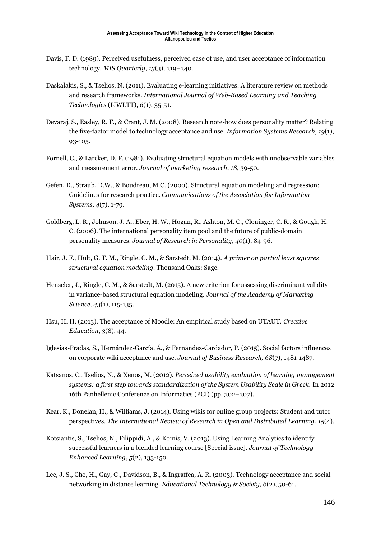- Davis, F. D. (1989). Perceived usefulness, perceived ease of use, and user acceptance of information technology. *MIS Quarterly, 13*(3), 319–340.
- Daskalakis, S., & Tselios, N. (2011). Evaluating e-learning initiatives: A literature review on methods and research frameworks. *International Journal of Web-Based Learning and Teaching Technologies* (IJWLTT), *6*(1), 35-51.
- Devaraj, S., Easley, R. F., & Crant, J. M. (2008). Research note-how does personality matter? Relating the five-factor model to technology acceptance and use. *Information Systems Research, 19*(1), 93-105.
- Fornell, C., & Larcker, D. F. (1981). Evaluating structural equation models with unobservable variables and measurement error. *Journal of marketing research*, *18*, 39-50.
- Gefen, D., Straub, D.W., & Boudreau, M.C. (2000). Structural equation modeling and regression: Guidelines for research practice. *Communications of the Association for Information Systems, 4*(7), 1-79.
- Goldberg, L. R., Johnson, J. A., Eber, H. W., Hogan, R., Ashton, M. C., Cloninger, C. R., & Gough, H. C. (2006). The international personality item pool and the future of public-domain personality measures. *Journal of Research in Personality*, *40*(1), 84-96.
- Hair, J. F., Hult, G. T. M., Ringle, C. M., & Sarstedt, M. (2014). *A primer on partial least squares structural equation modeling.* Thousand Oaks: Sage.
- Henseler, J., Ringle, C. M., & Sarstedt, M. (2015). A new criterion for assessing discriminant validity in variance-based structural equation modeling. *Journal of the Academy of Marketing Science, 43*(1), 115-135.
- Hsu, H. H. (2013). The acceptance of Moodle: An empirical study based on UTAUT. *Creative Education*, *3*(8), 44.
- Iglesias-Pradas, S., Hernández-García, Á., & Fernández-Cardador, P. (2015). Social factors influences on corporate wiki acceptance and use. *Journal of Business Research, 68*(7), 1481-1487.
- Katsanos, C., Tselios, N., & Xenos, M. (2012). *Perceived usability evaluation of learning management systems: a first step towards standardization of the System Usability Scale in Greek.* In 2012 16th Panhellenic Conference on Informatics (PCI) (pp. 302–307).
- Kear, K., Donelan, H., & Williams, J. (2014). Using wikis for online group projects: Student and tutor perspectives. *The International Review of Research in Open and Distributed Learning*, *15*(4).
- Kotsiantis, S., Tselios, N., Filippidi, A., & Komis, V. (2013). Using Learning Analytics to identify successful learners in a blended learning course [Special issue]. *Journal of Technology Enhanced Learning*, *5*(2), 133-150.
- Lee, J. S., Cho, H., Gay, G., Davidson, B., & Ingraffea, A. R. (2003). Technology acceptance and social networking in distance learning. *Educational Technology & Society, 6*(2), 50-61.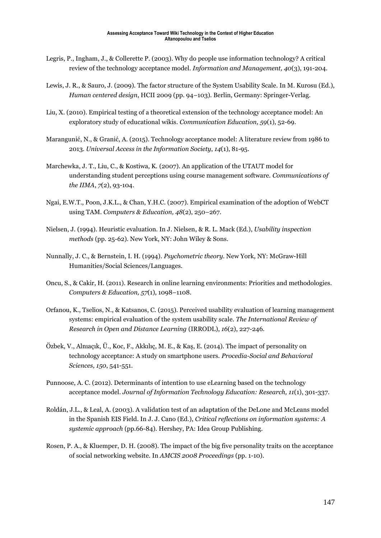- Legris, P., Ingham, J., & Collerette P. (2003). Why do people use information technology? A critical review of the technology acceptance model. *Information and Management, 40*(3), 191-204.
- Lewis, J. R., & Sauro, J. (2009). The factor structure of the System Usability Scale. In M. Kurosu (Ed.), *Human centered design*, HCII 2009 (pp. 94–103). Berlin, Germany: Springer-Verlag.
- Liu, X. (2010). Empirical testing of a theoretical extension of the technology acceptance model: An exploratory study of educational wikis. *Communication Education, 59*(1), 52-69.
- Marangunić, N., & Granić, A. (2015). Technology acceptance model: A literature review from 1986 to 2013. *Universal Access in the Information Society*, *14*(1), 81-95.
- Marchewka, J. T., Liu, C., & Kostiwa, K. (2007). An application of the UTAUT model for understanding student perceptions using course management software. *Communications of the IIMA*, *7*(2), 93-104.
- Ngai, E.W.T., Poon, J.K.L., & Chan, Y.H.C. (2007). Empirical examination of the adoption of WebCT using TAM. *Computers & Education, 48*(2), 250–267.
- Nielsen, J. (1994). Heuristic evaluation. In J. Nielsen, & R. L. Mack (Ed.), *Usability inspection methods* (pp. 25-62). New York, NY: John Wiley & Sons.
- Nunnally, J. C., & Bernstein, I. H. (1994). *Psychometric theory*. New York, NY: McGraw-Hill Humanities/Social Sciences/Languages.
- Oncu, S., & Cakir, H. (2011). Research in online learning environments: Priorities and methodologies. *Computers & Education, 57*(1), 1098–1108.
- Orfanou, K., Tselios, N., & Katsanos, C. (2015). Perceived usability evaluation of learning management systems: empirical evaluation of the system usability scale. *The International Review of Research in Open and Distance Learning* (IRRODL), *16*(2), 227-246.
- Özbek, V., Alnıaçık, Ü., Koc, F., Akkılıç, M. E., & Kaş, E. (2014). The impact of personality on technology acceptance: A study on smartphone users. *Procedia-Social and Behavioral Sciences, 150*, 541-551.
- Punnoose, A. C. (2012). Determinants of intention to use eLearning based on the technology acceptance model. *Journal of Information Technology Education: Research, 11*(1), 301-337.
- Roldán, J.L., & Leal, A. (2003). A validation test of an adaptation of the DeLone and McLeans model in the Spanish EIS Field. In J. J. Cano (Ed.), *Critical reflections on information systems: A systemic approach* (pp.66-84)*.* Hershey, PA: Idea Group Publishing.
- Rosen, P. A., & Kluemper, D. H. (2008). The impact of the big five personality traits on the acceptance of social networking website. In *AMCIS 2008 Proceedings* (pp. 1-10).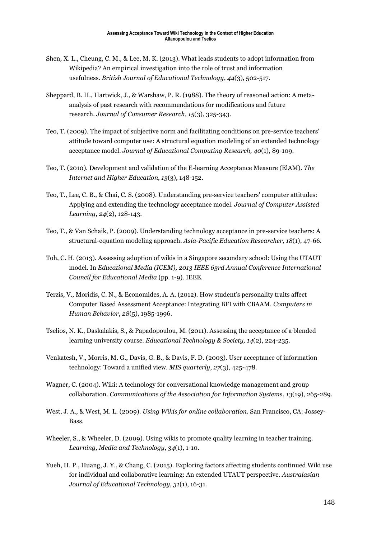- Shen, X. L., Cheung, C. M., & Lee, M. K. (2013). What leads students to adopt information from Wikipedia? An empirical investigation into the role of trust and information usefulness. *British Journal of Educational Technology*, *44*(3), 502-517.
- Sheppard, B. H., Hartwick, J., & Warshaw, P. R. (1988). The theory of reasoned action: A metaanalysis of past research with recommendations for modifications and future research. *Journal of Consumer Research, 15*(3), 325-343.
- Teo, T. (2009). The impact of subjective norm and facilitating conditions on pre-service teachers' attitude toward computer use: A structural equation modeling of an extended technology acceptance model. *Journal of Educational Computing Research, 40*(1), 89-109.
- Teo, T. (2010). Development and validation of the E-learning Acceptance Measure (ElAM). *The Internet and Higher Education, 13*(3), 148-152.
- Teo, T., Lee, C. B., & Chai, C. S. (2008). Understanding pre‐service teachers' computer attitudes: Applying and extending the technology acceptance model. *Journal of Computer Assisted Learning*, *24*(2), 128-143.
- Teo, T., & Van Schaik, P. (2009). Understanding technology acceptance in pre-service teachers: A structural-equation modeling approach. *Asia-Pacific Education Researcher, 18*(1), 47-66.
- Toh, C. H. (2013). Assessing adoption of wikis in a Singapore secondary school: Using the UTAUT model. In *Educational Media (ICEM), 2013 IEEE 63rd Annual Conference International Council for Educational Media* (pp. 1-9). IEEE.
- Terzis, V., Moridis, C. N., & Economides, A. A. (2012). How student's personality traits affect Computer Based Assessment Acceptance: Integrating BFI with CBAAM. *Computers in Human Behavior*, *28*(5), 1985-1996.
- Tselios, N. K., Daskalakis, S., & Papadopoulou, M. (2011). Assessing the acceptance of a blended learning university course. *Educational Technology & Society, 14*(2), 224-235.
- Venkatesh, V., Morris, M. G., Davis, G. B., & Davis, F. D. (2003). User acceptance of information technology: Toward a unified view. *MIS quarterly*, *27*(3), 425-478.
- Wagner, C. (2004). Wiki: A technology for conversational knowledge management and group collaboration. *Communications of the Association for Information Systems*, *13*(19), 265-289.
- West, J. A., & West, M. L. (2009). *Using Wikis for online collaboration*. San Francisco, CA: Jossey-Bass.
- Wheeler, S., & Wheeler, D. (2009). Using wikis to promote quality learning in teacher training*. Learning, Media and Technology*, *34*(1), 1-10.
- Yueh, H. P., Huang, J. Y., & Chang, C. (2015). Exploring factors affecting students continued Wiki use for individual and collaborative learning: An extended UTAUT perspective. *Australasian Journal of Educational Technology, 31*(1), 16-31.